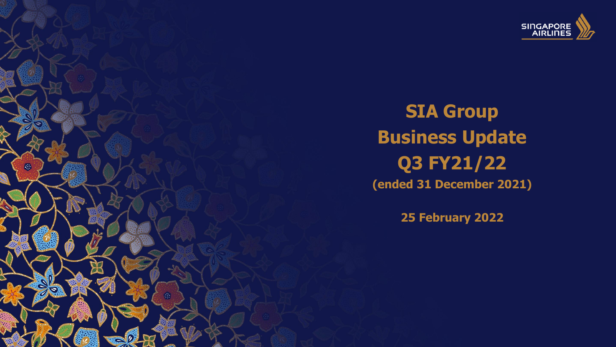

**SIA Group Business Update Q3 FY21/22 (ended 31 December 2021)**

**25 February 2022** 

<u>tion in the second and the second the second second in the second second in the second second in the second second second in the second second in the second second in the second second in the second second in the second s</u>

not be modified, reproduced, distributed, republished or transmitted in whole or in part in any manner or by any means without prior permission of Singapore Airlines Ltd.

崇

 $\epsilon$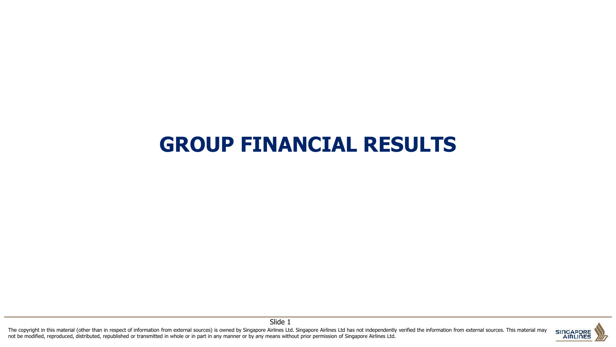# **GROUP FINANCIAL RESULTS**

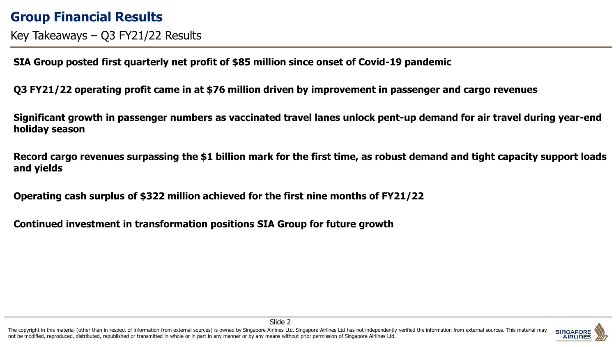#### **Group Financial Results**

Key Takeaways – Q3 FY21/22 Results

**SIA Group posted first quarterly net profit of \$85 million since onset of Covid-19 pandemic**

**Q3 FY21/22 operating profit came in at \$76 million driven by improvement in passenger and cargo revenues**

**Significant growth in passenger numbers as vaccinated travel lanes unlock pent-up demand for air travel during year-end holiday season**

**Record cargo revenues surpassing the \$1 billion mark for the first time, as robust demand and tight capacity support loads and yields**

**Operating cash surplus of \$322 million achieved for the first nine months of FY21/22**

**Continued investment in transformation positions SIA Group for future growth**



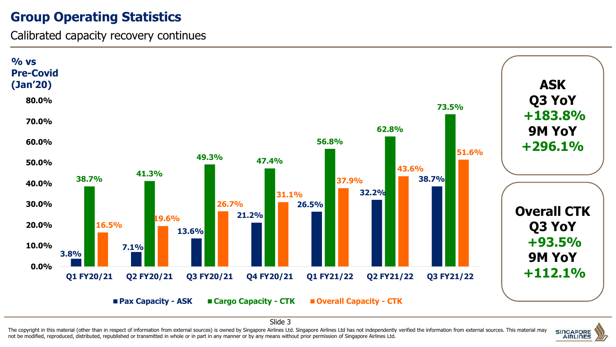#### **Group Operating Statistics**

Calibrated capacity recovery continues



Slide 3

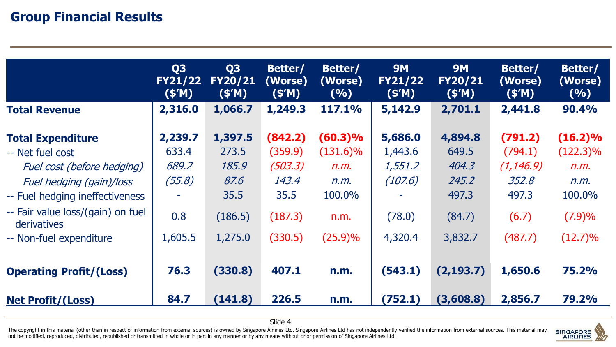#### **Group Financial Results**

|                                                                                                                                                                                | Q <sub>3</sub><br><b>FY21/22</b><br>(S'M)  | Q <sub>3</sub><br><b>FY20/21</b><br>(S'M)            | Better/<br>(Worse)<br>(S'M)                               | Better/<br>(Worse)<br>(9/6)                                 | <b>9M</b><br><b>FY21/22</b><br>(S'M)               | <b>9M</b><br><b>FY20/21</b><br>(S'M)                  | Better/<br>(Worse)<br>(S'M)                                 | Better/<br>(Worse)<br>(9/0)                                   |
|--------------------------------------------------------------------------------------------------------------------------------------------------------------------------------|--------------------------------------------|------------------------------------------------------|-----------------------------------------------------------|-------------------------------------------------------------|----------------------------------------------------|-------------------------------------------------------|-------------------------------------------------------------|---------------------------------------------------------------|
| <b>Total Revenue</b>                                                                                                                                                           | 2,316.0                                    | 1,066.7                                              | 1,249.3                                                   | <b>117.1%</b>                                               | 5,142.9                                            | 2,701.1                                               | 2,441.8                                                     | 90.4%                                                         |
| <b>Total Expenditure</b><br>-- Net fuel cost<br>Fuel cost (before hedging)<br>Fuel hedging (gain)/loss<br>-- Fuel hedging ineffectiveness<br>-- Fair value loss/(gain) on fuel | 2,239.7<br>633.4<br>689.2<br>(55.8)<br>0.8 | 1,397.5<br>273.5<br>185.9<br>87.6<br>35.5<br>(186.5) | (842.2)<br>(359.9)<br>(503.3)<br>143.4<br>35.5<br>(187.3) | $(60.3)\%$<br>$(131.6)\%$<br>n.m.<br>n.m.<br>100.0%<br>n.m. | 5,686.0<br>1,443.6<br>1,551.2<br>(107.6)<br>(78.0) | 4,894.8<br>649.5<br>404.3<br>245.2<br>497.3<br>(84.7) | (791.2)<br>(794.1)<br>(1, 146.9)<br>352.8<br>497.3<br>(6.7) | $(16.2)\%$<br>$(122.3)\%$<br>n.m.<br>n.m.<br>100.0%<br>(7.9)% |
| derivatives<br>-- Non-fuel expenditure<br><b>Operating Profit/(Loss)</b>                                                                                                       | 1,605.5<br>76.3                            | 1,275.0<br>(330.8)                                   | (330.5)<br>407.1                                          | $(25.9)\%$<br>n.m.                                          | 4,320.4<br>(543.1)                                 | 3,832.7<br>(2, 193.7)                                 | (487.7)<br>1,650.6                                          | $(12.7)\%$<br>75.2%                                           |
| <b>Net Profit/(Loss)</b>                                                                                                                                                       | 84.7                                       | (141.8)                                              | 226.5                                                     | n.m.                                                        | (752.1)                                            | (3,608.8)                                             | 2,856.7                                                     | 79.2%                                                         |

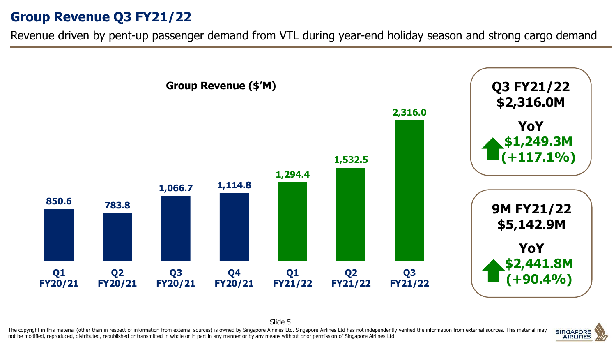#### **Group Revenue Q3 FY21/22**

Revenue driven by pent-up passenger demand from VTL during year-end holiday season and strong cargo demand





Slide 5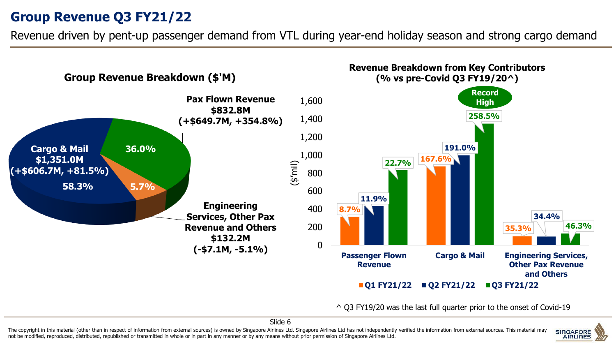### **Group Revenue Q3 FY21/22**

Revenue driven by pent-up passenger demand from VTL during year-end holiday season and strong cargo demand



^ Q3 FY19/20 was the last full quarter prior to the onset of Covid-19

Slide 6

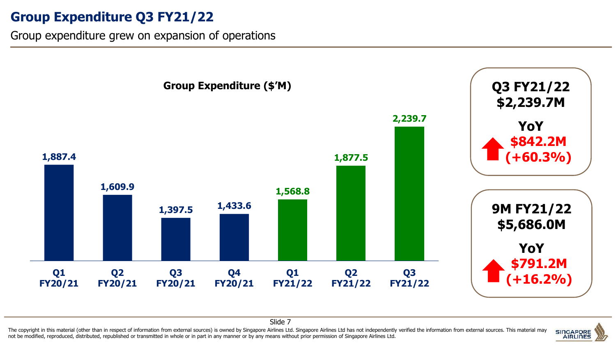### **Group Expenditure Q3 FY21/22**

Group expenditure grew on expansion of operations



The copyright in this material (other than in respect of information from external sources) is owned by Singapore Airlines Ltd. Singapore Airlines Ltd has not independently verified the information from external sources. T Slide 7

not be modified, reproduced, distributed, republished or transmitted in whole or in part in any manner or by any means without prior permission of Singapore Airlines Ltd.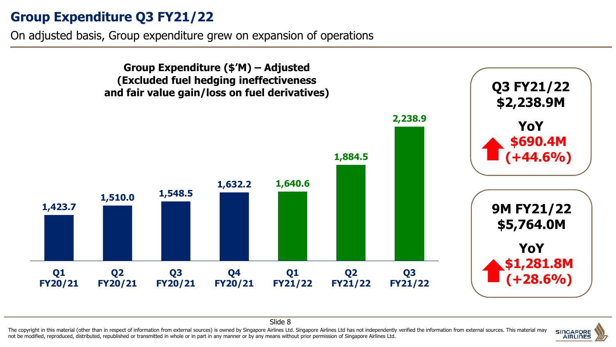#### **Group Expenditure Q3 FY21/22**

On adjusted basis, Group expenditure grew on expansion of operations





Slide 8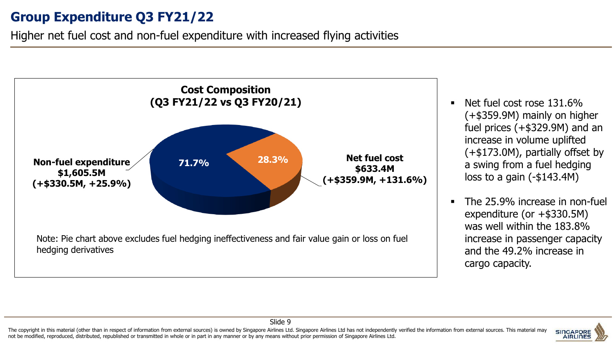### **Group Expenditure Q3 FY21/22**

Higher net fuel cost and non-fuel expenditure with increased flying activities



- Net fuel cost rose  $131.6\%$ (+\$359.9M) mainly on higher fuel prices (+\$329.9M) and an increase in volume uplifted (+\$173.0M), partially offset by a swing from a fuel hedging loss to a gain (-\$143.4M)
- The 25.9% increase in non-fuel expenditure (or +\$330.5M) was well within the 183.8% increase in passenger capacity and the 49.2% increase in cargo capacity.



Slide 9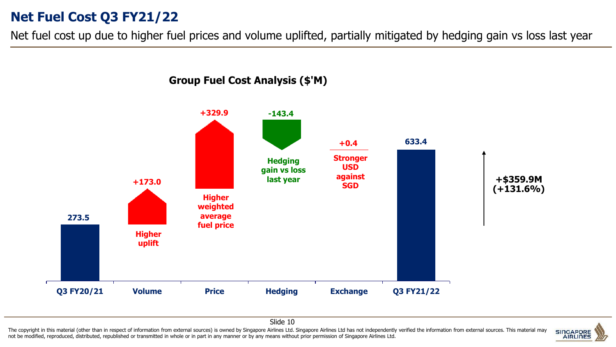#### **Net Fuel Cost Q3 FY21/22**

Net fuel cost up due to higher fuel prices and volume uplifted, partially mitigated by hedging gain vs loss last year



Slide 10

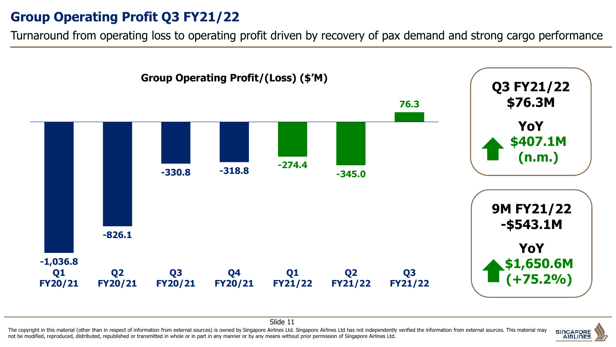### **Group Operating Profit Q3 FY21/22**

Turnaround from operating loss to operating profit driven by recovery of pax demand and strong cargo performance





Slide 11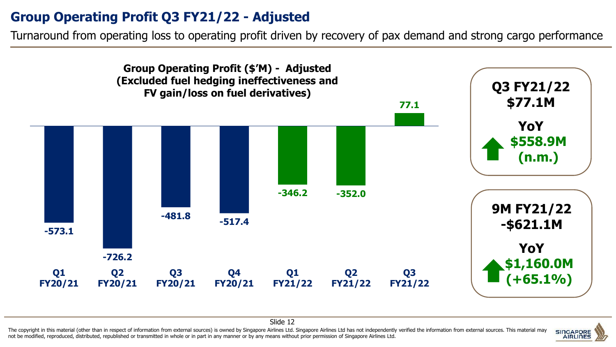## **Group Operating Profit Q3 FY21/22 - Adjusted**

Turnaround from operating loss to operating profit driven by recovery of pax demand and strong cargo performance





Slide 12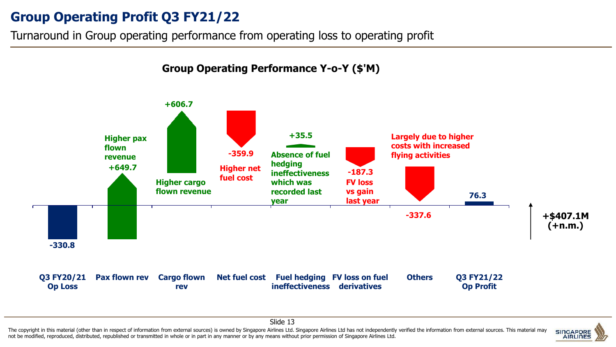### **Group Operating Profit Q3 FY21/22**

Turnaround in Group operating performance from operating loss to operating profit



#### The copyright in this material (other than in respect of information from external sources) is owned by Singapore Airlines Ltd. Singapore Airlines Ltd has not independently verified the information from external sources. T not be modified, reproduced, distributed, republished or transmitted in whole or in part in any manner or by any means without prior permission of Singapore Airlines Ltd.



Slide 13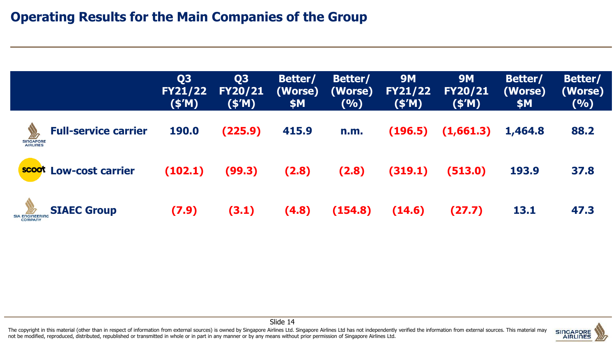|                                                             | Q <sub>3</sub><br><b>FY21/22</b><br>(S'M) | Q <sub>3</sub><br><b>FY20/21</b><br>(S'M) | Better/<br>(Worse)<br>\$M | Better/<br>(Worse)<br>(%) | <b>9M</b><br><b>FY21/22</b><br>(S'M) | <b>9M</b><br><b>FY20/21</b><br>(\$′M) | Better/<br>(Worse)<br>\$M | Better/<br>(Worse)<br>(9/0) |
|-------------------------------------------------------------|-------------------------------------------|-------------------------------------------|---------------------------|---------------------------|--------------------------------------|---------------------------------------|---------------------------|-----------------------------|
| <b>Full-service carrier</b><br><b>SINGAPORE</b><br>AIRLINES | <b>190.0</b>                              | (225.9)                                   | 415.9                     | n.m.                      | (196.5)                              | (1,661.3)                             | 1,464.8                   | 88.2                        |
| scoot<br><b>Low-cost carrier</b>                            | (102.1)                                   | (99.3)                                    | (2.8)                     | (2.8)                     | (319.1)                              | (513.0)                               | 193.9                     | 37.8                        |
| <b>SIAEC Group</b><br><b>SIA ENGINEERIT</b><br>COMPANY      | (7.9)                                     | (3.1)                                     | (4.8)                     | (154.8)                   | (14.6)                               | (27.7)                                | 13.1                      | 47.3                        |

The copyright in this material (other than in respect of information from external sources) is owned by Singapore Airlines Ltd. Singapore Airlines Ltd has not independently verified the information from external sources. T not be modified, reproduced, distributed, republished or transmitted in whole or in part in any manner or by any means without prior permission of Singapore Airlines Ltd.



Slide 14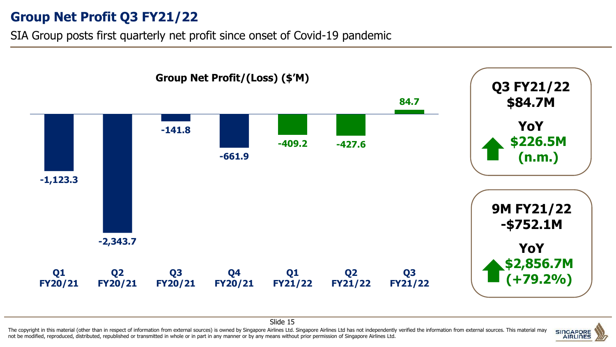**Group Net Profit Q3 FY21/22**

SIA Group posts first quarterly net profit since onset of Covid-19 pandemic





Slide 15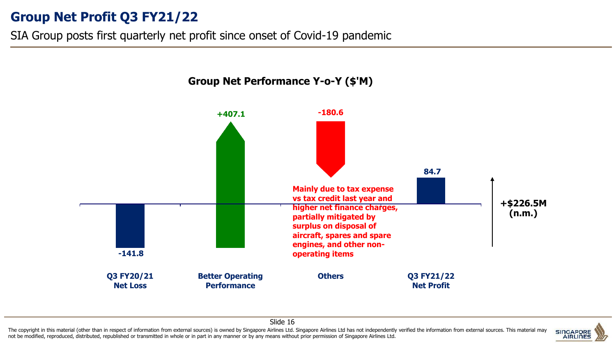### **Group Net Profit Q3 FY21/22**

SIA Group posts first quarterly net profit since onset of Covid-19 pandemic





Slide 16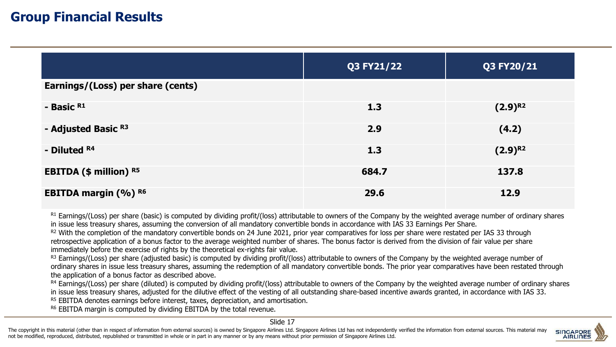#### **Group Financial Results**

|                                   | Q3 FY21/22 | Q3 FY20/21   |
|-----------------------------------|------------|--------------|
| Earnings/(Loss) per share (cents) |            |              |
| - Basic R1                        | 1.3        | $(2.9)^{R2}$ |
| - Adjusted Basic R3               | 2.9        | (4.2)        |
| - Diluted R4                      | 1.3        | $(2.9)^{R2}$ |
| <b>EBITDA (\$ million) R5</b>     | 684.7      | 137.8        |
| <b>EBITDA margin (%) R6</b>       | 29.6       | 12.9         |

R1 Earnings/(Loss) per share (basic) is computed by dividing profit/(loss) attributable to owners of the Company by the weighted average number of ordinary shares in issue less treasury shares, assuming the conversion of all mandatory convertible bonds in accordance with IAS 33 Earnings Per Share.

R<sub>2</sub> With the completion of the mandatory convertible bonds on 24 June 2021, prior year comparatives for loss per share were restated per IAS 33 through retrospective application of a bonus factor to the average weighted number of shares. The bonus factor is derived from the division of fair value per share immediately before the exercise of rights by the theoretical ex-rights fair value.

R3 Earnings/(Loss) per share (adjusted basic) is computed by dividing profit/(loss) attributable to owners of the Company by the weighted average number of ordinary shares in issue less treasury shares, assuming the redemption of all mandatory convertible bonds. The prior year comparatives have been restated through the application of a bonus factor as described above.

 $R4$  Earnings/(Loss) per share (diluted) is computed by dividing profit/(loss) attributable to owners of the Company by the weighted average number of ordinary shares in issue less treasury shares, adjusted for the dilutive effect of the vesting of all outstanding share-based incentive awards granted, in accordance with IAS 33.

<sup>R5</sup> EBITDA denotes earnings before interest, taxes, depreciation, and amortisation.

R6 EBITDA margin is computed by dividing EBITDA by the total revenue.

Slide 17

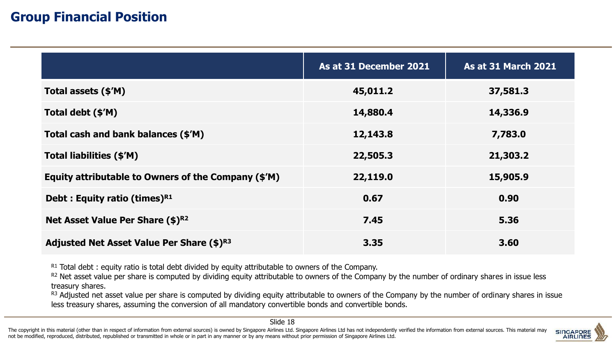#### **Group Financial Position**

|                                                     | As at 31 December 2021 | <b>As at 31 March 2021</b> |
|-----------------------------------------------------|------------------------|----------------------------|
| Total assets (\$'M)                                 | 45,011.2               | 37,581.3                   |
| Total debt (\$'M)                                   | 14,880.4               | 14,336.9                   |
| Total cash and bank balances (\$'M)                 | 12,143.8               | 7,783.0                    |
| Total liabilities (\$'M)                            | 22,505.3               | 21,303.2                   |
| Equity attributable to Owners of the Company (\$'M) | 22,119.0               | 15,905.9                   |
| Debt : Equity ratio (times) <sup>R1</sup>           | 0.67                   | 0.90                       |
| Net Asset Value Per Share (\$)R2                    | 7.45                   | 5.36                       |
| Adjusted Net Asset Value Per Share (\$)R3           | 3.35                   | 3.60                       |

 $R1$  Total debt : equity ratio is total debt divided by equity attributable to owners of the Company.

R2 Net asset value per share is computed by dividing equity attributable to owners of the Company by the number of ordinary shares in issue less treasury shares.

R3 Adjusted net asset value per share is computed by dividing equity attributable to owners of the Company by the number of ordinary shares in issue less treasury shares, assuming the conversion of all mandatory convertible bonds and convertible bonds.

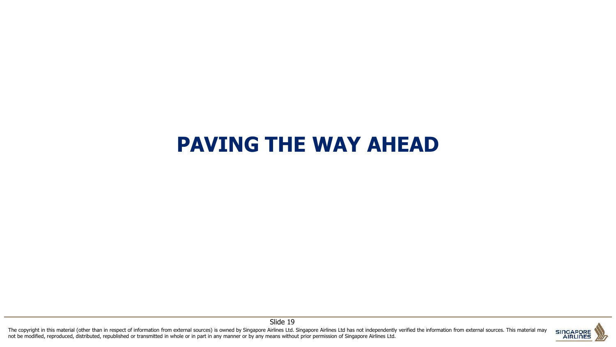# **PAVING THE WAY AHEAD**

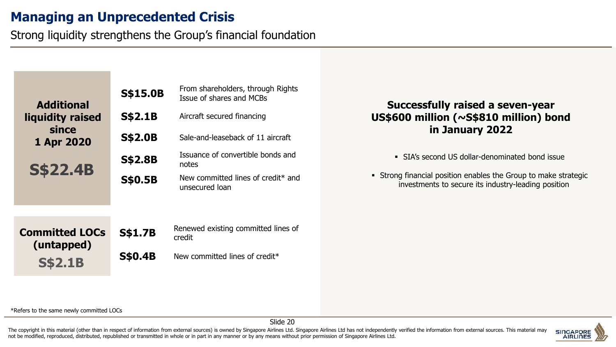#### **Managing an Unprecedented Crisis**

Strong liquidity strengthens the Group's financial foundation

| <b>Additional</b>          | <b>S\$15.0B</b> | From shareholders, through Rights<br>Issue of shares and MCBs    |
|----------------------------|-----------------|------------------------------------------------------------------|
| liquidity raised           | <b>S\$2.1B</b>  | Aircraft secured financing                                       |
| since<br><b>1 Apr 2020</b> | <b>S\$2.0B</b>  | Sale-and-leaseback of 11 aircraft                                |
| <b>S\$22.4B</b>            | <b>S\$2.8B</b>  | Issuance of convertible bonds and<br>notes                       |
|                            | <b>S\$0.5B</b>  | New committed lines of credit <sup>*</sup> and<br>unsecured loan |
|                            |                 |                                                                  |
| Committad I ACc            | C¢1 7D          | Renewed existing committed lines of                              |

#### **Successfully raised a seven-year US\$600 million (~S\$810 million) bond in January 2022**

▪ SIA's second US dollar-denominated bond issue

**EXTERGHEED FIGHTS Incredict** Figures Strong financial position enables the Group to make strategic investments to secure its industry-leading position

| <b>Committed LOCs</b> |
|-----------------------|
| (untapped)            |
| <b>S\$2.1B</b>        |

**S\$1.7B** Renewed existing committed lines of credit

**S\$0.4B** New committed lines of credit\*

\*Refers to the same newly committed LOCs

Slide 20

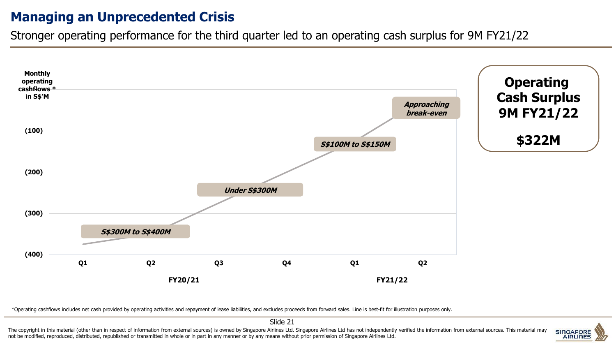#### **Managing an Unprecedented Crisis**

Stronger operating performance for the third quarter led to an operating cash surplus for 9M FY21/22



\*Operating cashflows includes net cash provided by operating activities and repayment of lease liabilities, and excludes proceeds from forward sales. Line is best-fit for illustration purposes only.

Slide 21

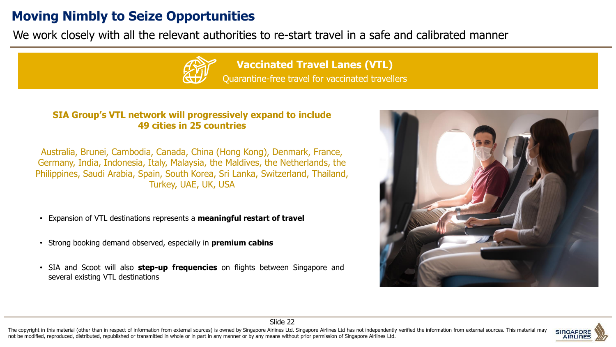#### **Moving Nimbly to Seize Opportunities**

We work closely with all the relevant authorities to re-start travel in a safe and calibrated manner



#### **SIA Group's VTL network will progressively expand to include 49 cities in 25 countries**

Australia, Brunei, Cambodia, Canada, China (Hong Kong), Denmark, France, Germany, India, Indonesia, Italy, Malaysia, the Maldives, the Netherlands, the Philippines, Saudi Arabia, Spain, South Korea, Sri Lanka, Switzerland, Thailand, Turkey, UAE, UK, USA

- Expansion of VTL destinations represents a **meaningful restart of travel**
- Strong booking demand observed, especially in **premium cabins**
- SIA and Scoot will also **step-up frequencies** on flights between Singapore and several existing VTL destinations





Slide 22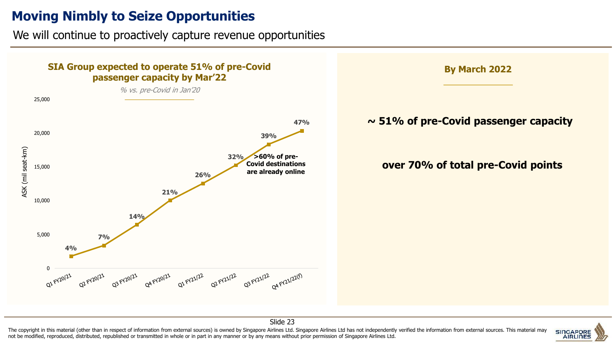#### **Moving Nimbly to Seize Opportunities**

We will continue to proactively capture revenue opportunities



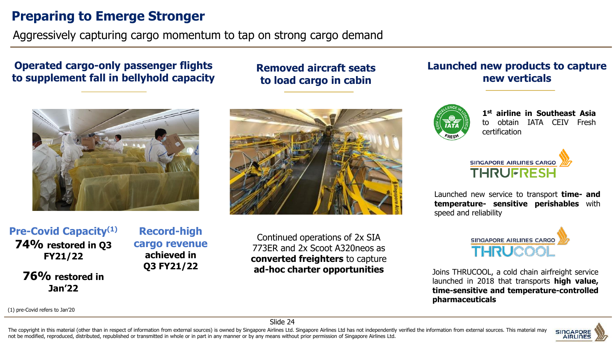#### **Preparing to Emerge Stronger**

Aggressively capturing cargo momentum to tap on strong cargo demand

#### **Operated cargo-only passenger flights to supplement fall in bellyhold capacity**



**Pre-Covid Capacity(1) 74% restored in Q3 FY21/22**

> **76% restored in Jan'22**

**Record-high cargo revenue achieved in Q3 FY21/22**

Continued operations of 2x SIA 773ER and 2x Scoot A320neos as

**Removed aircraft seats** 

**to load cargo in cabin** 

# **converted freighters** to capture **ad-hoc charter opportunities**

#### **Launched new products to capture new verticals**



**1st airline in Southeast Asia** to obtain IATA CEIV Fresh certification

| SINGAPORE AIRLINES CARGO |  |
|--------------------------|--|
| <b>THRUFRESH</b>         |  |

Launched new service to transport **time- and temperature- sensitive perishables** with speed and reliability



Joins THRUCOOL, a cold chain airfreight service launched in 2018 that transports **high value, time-sensitive and temperature-controlled pharmaceuticals**

(1) pre-Covid refers to Jan'20